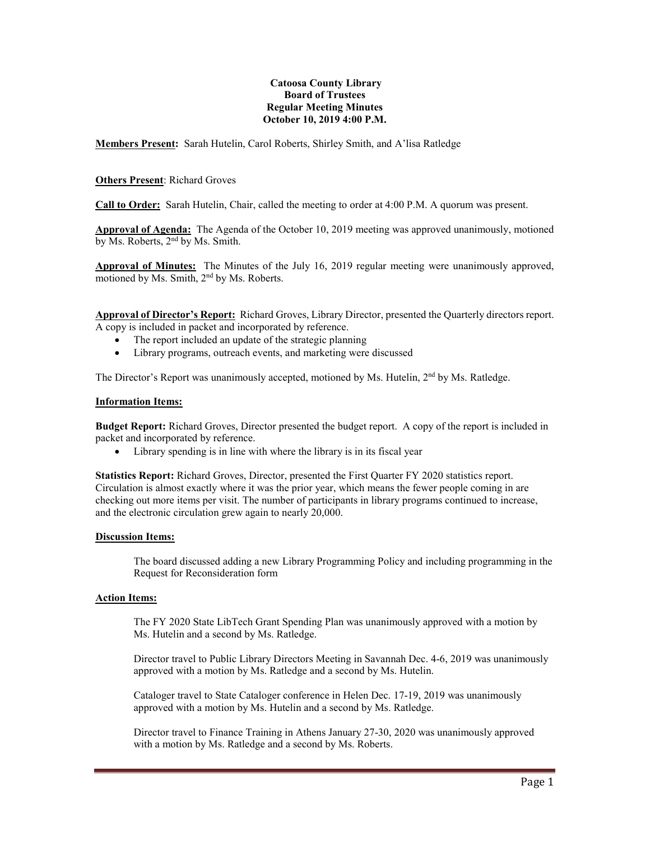### **Catoosa County Library Board of Trustees Regular Meeting Minutes October 10, 2019 4:00 P.M.**

**Members Present:** Sarah Hutelin, Carol Roberts, Shirley Smith, and A'lisa Ratledge

# **Others Present**: Richard Groves

**Call to Order:** Sarah Hutelin, Chair, called the meeting to order at 4:00 P.M. A quorum was present.

**Approval of Agenda:** The Agenda of the October 10, 2019 meeting was approved unanimously, motioned by Ms. Roberts, 2<sup>nd</sup> by Ms. Smith.

**Approval of Minutes:** The Minutes of the July 16, 2019 regular meeting were unanimously approved, motioned by Ms. Smith, 2<sup>nd</sup> by Ms. Roberts.

**Approval of Director's Report:** Richard Groves, Library Director, presented the Quarterly directors report. A copy is included in packet and incorporated by reference.

- The report included an update of the strategic planning
- Library programs, outreach events, and marketing were discussed

The Director's Report was unanimously accepted, motioned by Ms. Hutelin, 2<sup>nd</sup> by Ms. Ratledge.

#### **Information Items:**

**Budget Report:** Richard Groves, Director presented the budget report. A copy of the report is included in packet and incorporated by reference.

• Library spending is in line with where the library is in its fiscal year

**Statistics Report:** Richard Groves, Director, presented the First Quarter FY 2020 statistics report. Circulation is almost exactly where it was the prior year, which means the fewer people coming in are checking out more items per visit. The number of participants in library programs continued to increase, and the electronic circulation grew again to nearly 20,000.

# **Discussion Items:**

The board discussed adding a new Library Programming Policy and including programming in the Request for Reconsideration form

# **Action Items:**

The FY 2020 State LibTech Grant Spending Plan was unanimously approved with a motion by Ms. Hutelin and a second by Ms. Ratledge.

Director travel to Public Library Directors Meeting in Savannah Dec. 4-6, 2019 was unanimously approved with a motion by Ms. Ratledge and a second by Ms. Hutelin.

Cataloger travel to State Cataloger conference in Helen Dec. 17-19, 2019 was unanimously approved with a motion by Ms. Hutelin and a second by Ms. Ratledge.

Director travel to Finance Training in Athens January 27-30, 2020 was unanimously approved with a motion by Ms. Ratledge and a second by Ms. Roberts.